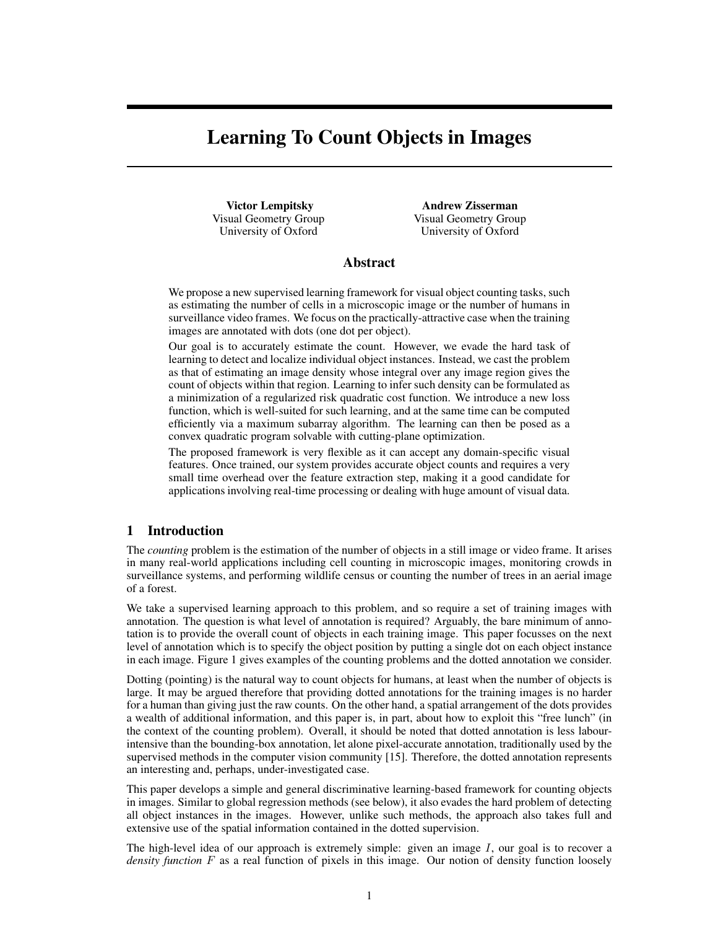# Learning To Count Objects in Images

Victor Lempitsky Visual Geometry Group University of Oxford

Andrew Zisserman Visual Geometry Group University of Oxford

## Abstract

We propose a new supervised learning framework for visual object counting tasks, such as estimating the number of cells in a microscopic image or the number of humans in surveillance video frames. We focus on the practically-attractive case when the training images are annotated with dots (one dot per object).

Our goal is to accurately estimate the count. However, we evade the hard task of learning to detect and localize individual object instances. Instead, we cast the problem as that of estimating an image density whose integral over any image region gives the count of objects within that region. Learning to infer such density can be formulated as a minimization of a regularized risk quadratic cost function. We introduce a new loss function, which is well-suited for such learning, and at the same time can be computed efficiently via a maximum subarray algorithm. The learning can then be posed as a convex quadratic program solvable with cutting-plane optimization.

The proposed framework is very flexible as it can accept any domain-specific visual features. Once trained, our system provides accurate object counts and requires a very small time overhead over the feature extraction step, making it a good candidate for applications involving real-time processing or dealing with huge amount of visual data.

## 1 Introduction

The *counting* problem is the estimation of the number of objects in a still image or video frame. It arises in many real-world applications including cell counting in microscopic images, monitoring crowds in surveillance systems, and performing wildlife census or counting the number of trees in an aerial image of a forest.

We take a supervised learning approach to this problem, and so require a set of training images with annotation. The question is what level of annotation is required? Arguably, the bare minimum of annotation is to provide the overall count of objects in each training image. This paper focusses on the next level of annotation which is to specify the object position by putting a single dot on each object instance in each image. Figure 1 gives examples of the counting problems and the dotted annotation we consider.

Dotting (pointing) is the natural way to count objects for humans, at least when the number of objects is large. It may be argued therefore that providing dotted annotations for the training images is no harder for a human than giving just the raw counts. On the other hand, a spatial arrangement of the dots provides a wealth of additional information, and this paper is, in part, about how to exploit this "free lunch" (in the context of the counting problem). Overall, it should be noted that dotted annotation is less labourintensive than the bounding-box annotation, let alone pixel-accurate annotation, traditionally used by the supervised methods in the computer vision community [15]. Therefore, the dotted annotation represents an interesting and, perhaps, under-investigated case.

This paper develops a simple and general discriminative learning-based framework for counting objects in images. Similar to global regression methods (see below), it also evades the hard problem of detecting all object instances in the images. However, unlike such methods, the approach also takes full and extensive use of the spatial information contained in the dotted supervision.

The high-level idea of our approach is extremely simple: given an image I, our goal is to recover a *density function* F as a real function of pixels in this image. Our notion of density function loosely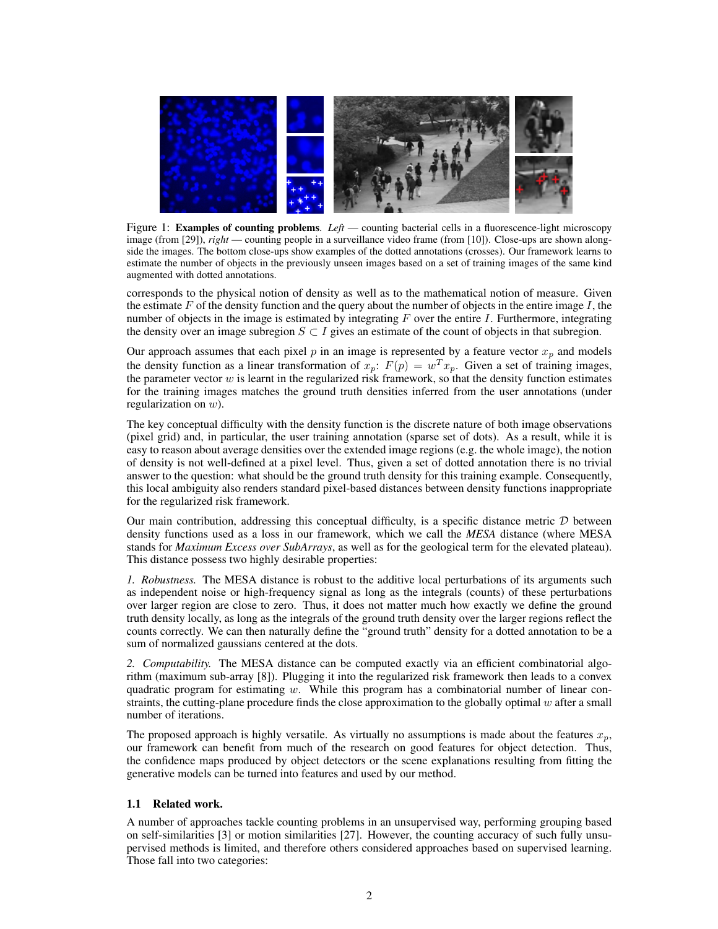

Figure 1: Examples of counting problems. *Left* — counting bacterial cells in a fluorescence-light microscopy image (from [29]), *right* — counting people in a surveillance video frame (from [10]). Close-ups are shown alongside the images. The bottom close-ups show examples of the dotted annotations (crosses). Our framework learns to estimate the number of objects in the previously unseen images based on a set of training images of the same kind augmented with dotted annotations.

corresponds to the physical notion of density as well as to the mathematical notion of measure. Given the estimate F of the density function and the query about the number of objects in the entire image  $I$ , the number of objects in the image is estimated by integrating  $F$  over the entire I. Furthermore, integrating the density over an image subregion  $S \subset I$  gives an estimate of the count of objects in that subregion.

Our approach assumes that each pixel  $p$  in an image is represented by a feature vector  $x_p$  and models the density function as a linear transformation of  $x_p$ :  $F(p) = w^T x_p$ . Given a set of training images, the parameter vector  $w$  is learnt in the regularized risk framework, so that the density function estimates for the training images matches the ground truth densities inferred from the user annotations (under regularization on w).

The key conceptual difficulty with the density function is the discrete nature of both image observations (pixel grid) and, in particular, the user training annotation (sparse set of dots). As a result, while it is easy to reason about average densities over the extended image regions (e.g. the whole image), the notion of density is not well-defined at a pixel level. Thus, given a set of dotted annotation there is no trivial answer to the question: what should be the ground truth density for this training example. Consequently, this local ambiguity also renders standard pixel-based distances between density functions inappropriate for the regularized risk framework.

Our main contribution, addressing this conceptual difficulty, is a specific distance metric  $D$  between density functions used as a loss in our framework, which we call the *MESA* distance (where MESA stands for *Maximum Excess over SubArrays*, as well as for the geological term for the elevated plateau). This distance possess two highly desirable properties:

*1. Robustness.* The MESA distance is robust to the additive local perturbations of its arguments such as independent noise or high-frequency signal as long as the integrals (counts) of these perturbations over larger region are close to zero. Thus, it does not matter much how exactly we define the ground truth density locally, as long as the integrals of the ground truth density over the larger regions reflect the counts correctly. We can then naturally define the "ground truth" density for a dotted annotation to be a sum of normalized gaussians centered at the dots.

*2. Computability.* The MESA distance can be computed exactly via an efficient combinatorial algorithm (maximum sub-array [8]). Plugging it into the regularized risk framework then leads to a convex quadratic program for estimating  $w$ . While this program has a combinatorial number of linear constraints, the cutting-plane procedure finds the close approximation to the globally optimal  $w$  after a small number of iterations.

The proposed approach is highly versatile. As virtually no assumptions is made about the features  $x_p$ , our framework can benefit from much of the research on good features for object detection. Thus, the confidence maps produced by object detectors or the scene explanations resulting from fitting the generative models can be turned into features and used by our method.

### 1.1 Related work.

A number of approaches tackle counting problems in an unsupervised way, performing grouping based on self-similarities [3] or motion similarities [27]. However, the counting accuracy of such fully unsupervised methods is limited, and therefore others considered approaches based on supervised learning. Those fall into two categories: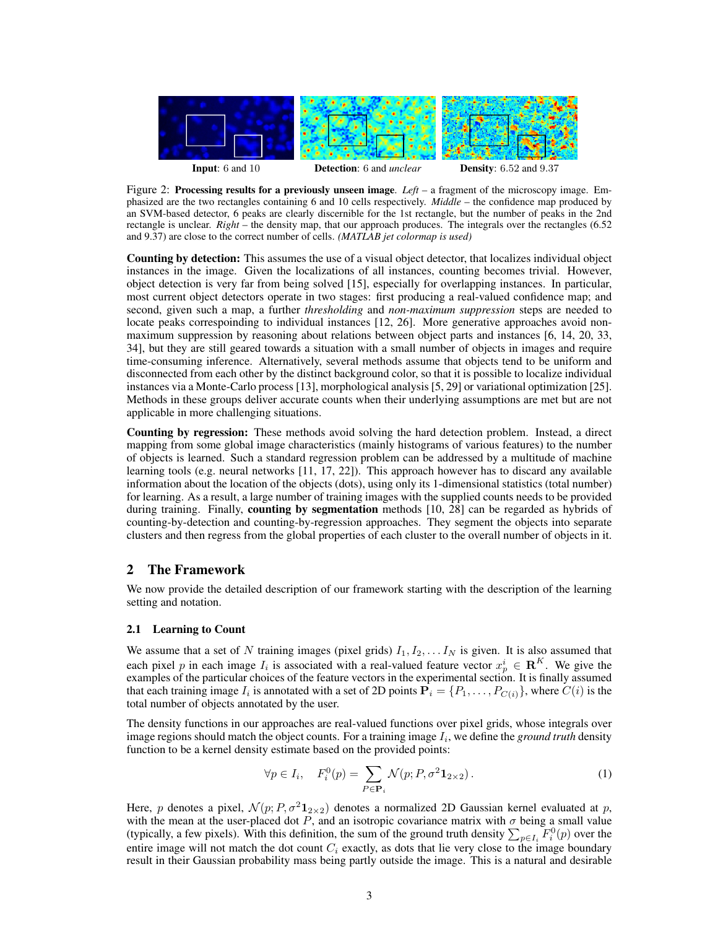

Figure 2: Processing results for a previously unseen image. *Left* – a fragment of the microscopy image. Emphasized are the two rectangles containing 6 and 10 cells respectively. *Middle* – the confidence map produced by an SVM-based detector, 6 peaks are clearly discernible for the 1st rectangle, but the number of peaks in the 2nd rectangle is unclear. *Right* – the density map, that our approach produces. The integrals over the rectangles (6.52 and 9.37) are close to the correct number of cells. *(MATLAB jet colormap is used)*

Counting by detection: This assumes the use of a visual object detector, that localizes individual object instances in the image. Given the localizations of all instances, counting becomes trivial. However, object detection is very far from being solved [15], especially for overlapping instances. In particular, most current object detectors operate in two stages: first producing a real-valued confidence map; and second, given such a map, a further *thresholding* and *non-maximum suppression* steps are needed to locate peaks correspoinding to individual instances [12, 26]. More generative approaches avoid nonmaximum suppression by reasoning about relations between object parts and instances [6, 14, 20, 33, 34], but they are still geared towards a situation with a small number of objects in images and require time-consuming inference. Alternatively, several methods assume that objects tend to be uniform and disconnected from each other by the distinct background color, so that it is possible to localize individual instances via a Monte-Carlo process [13], morphological analysis [5, 29] or variational optimization [25]. Methods in these groups deliver accurate counts when their underlying assumptions are met but are not applicable in more challenging situations.

Counting by regression: These methods avoid solving the hard detection problem. Instead, a direct mapping from some global image characteristics (mainly histograms of various features) to the number of objects is learned. Such a standard regression problem can be addressed by a multitude of machine learning tools (e.g. neural networks [11, 17, 22]). This approach however has to discard any available information about the location of the objects (dots), using only its 1-dimensional statistics (total number) for learning. As a result, a large number of training images with the supplied counts needs to be provided during training. Finally, counting by segmentation methods [10, 28] can be regarded as hybrids of counting-by-detection and counting-by-regression approaches. They segment the objects into separate clusters and then regress from the global properties of each cluster to the overall number of objects in it.

## 2 The Framework

We now provide the detailed description of our framework starting with the description of the learning setting and notation.

#### 2.1 Learning to Count

We assume that a set of N training images (pixel grids)  $I_1, I_2, \ldots I_N$  is given. It is also assumed that each pixel p in each image  $I_i$  is associated with a real-valued feature vector  $x_p^i \in \mathbb{R}^K$ . We give the examples of the particular choices of the feature vectors in the experimental section. It is finally assumed that each training image  $I_i$  is annotated with a set of 2D points  $\mathbf{P}_i = \{P_1, \ldots, P_{C(i)}\}$ , where  $C(i)$  is the total number of objects annotated by the user.

The density functions in our approaches are real-valued functions over pixel grids, whose integrals over image regions should match the object counts. For a training image  $I_i$ , we define the *ground truth* density function to be a kernel density estimate based on the provided points:

$$
\forall p \in I_i, \quad F_i^0(p) = \sum_{P \in \mathbf{P}_i} \mathcal{N}(p; P, \sigma^2 \mathbf{1}_{2 \times 2}). \tag{1}
$$

Here, p denotes a pixel,  $\mathcal{N}(p; P, \sigma^2 \mathbf{1}_{2 \times 2})$  denotes a normalized 2D Gaussian kernel evaluated at p, with the mean at the user-placed dot P, and an isotropic covariance matrix with  $\sigma$  being a small value (typically, a few pixels). With this definition, the sum of the ground truth density  $\sum_{p\in I_i} F_i^0(p)$  over the entire image will not match the dot count  $C_i$  exactly, as dots that lie very close to the image boundary result in their Gaussian probability mass being partly outside the image. This is a natural and desirable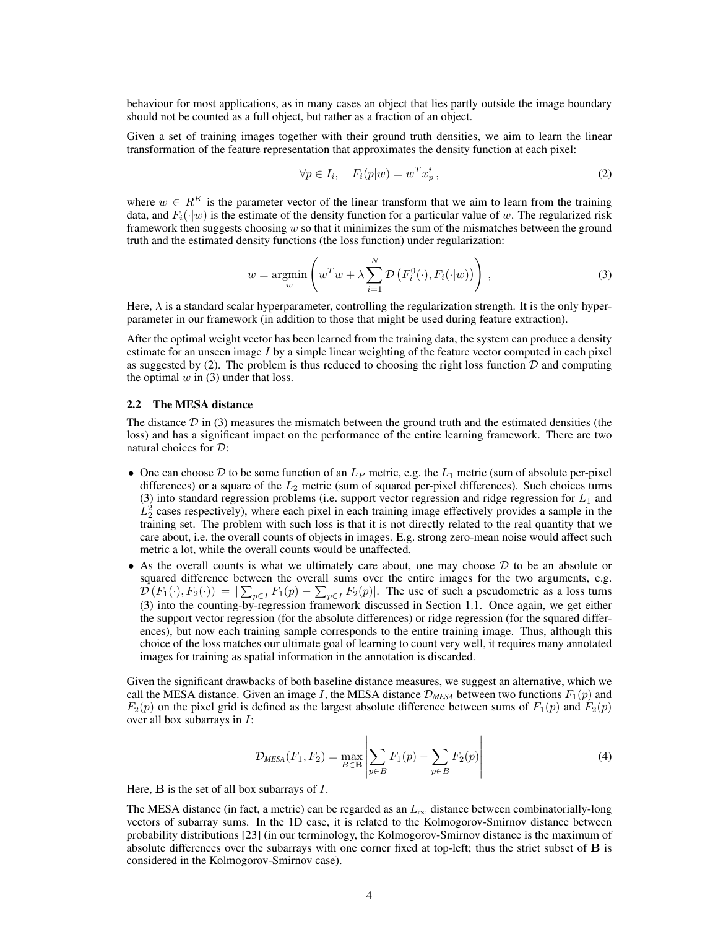behaviour for most applications, as in many cases an object that lies partly outside the image boundary should not be counted as a full object, but rather as a fraction of an object.

Given a set of training images together with their ground truth densities, we aim to learn the linear transformation of the feature representation that approximates the density function at each pixel:

$$
\forall p \in I_i, \quad F_i(p|w) = w^T x_p^i,\tag{2}
$$

where  $w \in R^K$  is the parameter vector of the linear transform that we aim to learn from the training data, and  $F_i(\cdot|w)$  is the estimate of the density function for a particular value of w. The regularized risk framework then suggests choosing  $w$  so that it minimizes the sum of the mismatches between the ground truth and the estimated density functions (the loss function) under regularization:

$$
w = \underset{w}{\operatorname{argmin}} \left( w^T w + \lambda \sum_{i=1}^N \mathcal{D} \left( F_i^0(\cdot), F_i(\cdot | w) \right) \right), \tag{3}
$$

Here,  $\lambda$  is a standard scalar hyperparameter, controlling the regularization strength. It is the only hyperparameter in our framework (in addition to those that might be used during feature extraction).

After the optimal weight vector has been learned from the training data, the system can produce a density estimate for an unseen image I by a simple linear weighting of the feature vector computed in each pixel as suggested by (2). The problem is thus reduced to choosing the right loss function  $\mathcal D$  and computing the optimal  $w$  in (3) under that loss.

#### 2.2 The MESA distance

The distance  $\mathcal D$  in (3) measures the mismatch between the ground truth and the estimated densities (the loss) and has a significant impact on the performance of the entire learning framework. There are two natural choices for D:

- One can choose D to be some function of an  $L_P$  metric, e.g. the  $L_1$  metric (sum of absolute per-pixel differences) or a square of the  $L_2$  metric (sum of squared per-pixel differences). Such choices turns (3) into standard regression problems (i.e. support vector regression and ridge regression for  $L_1$  and  $L_2^2$  cases respectively), where each pixel in each training image effectively provides a sample in the training set. The problem with such loss is that it is not directly related to the real quantity that we care about, i.e. the overall counts of objects in images. E.g. strong zero-mean noise would affect such metric a lot, while the overall counts would be unaffected.
- As the overall counts is what we ultimately care about, one may choose  $D$  to be an absolute or squared difference between the overall sums over the entire images for the two arguments, e.g.  $\mathcal{D}(F_1(\cdot), F_2(\cdot)) = |\sum_{p \in I} F_1(p) - \sum_{p \in I} F_2(p)|$ . The use of such a pseudometric as a loss turns (3) into the counting-by-regression framework discussed in Section 1.1. Once again, we get either the support vector regression (for the absolute differences) or ridge regression (for the squared differences), but now each training sample corresponds to the entire training image. Thus, although this choice of the loss matches our ultimate goal of learning to count very well, it requires many annotated images for training as spatial information in the annotation is discarded.

Given the significant drawbacks of both baseline distance measures, we suggest an alternative, which we call the MESA distance. Given an image I, the MESA distance  $\mathcal{D}_{MESA}$  between two functions  $F_1(p)$  and  $F_2(p)$  on the pixel grid is defined as the largest absolute difference between sums of  $F_1(p)$  and  $F_2(p)$ over all box subarrays in  $I$ :

$$
\mathcal{D}_{MESA}(F_1, F_2) = \max_{B \in \mathbf{B}} \left| \sum_{p \in B} F_1(p) - \sum_{p \in B} F_2(p) \right| \tag{4}
$$

Here,  $\bf{B}$  is the set of all box subarrays of  $\bf{I}$ .

The MESA distance (in fact, a metric) can be regarded as an  $L_{\infty}$  distance between combinatorially-long vectors of subarray sums. In the 1D case, it is related to the Kolmogorov-Smirnov distance between probability distributions [23] (in our terminology, the Kolmogorov-Smirnov distance is the maximum of absolute differences over the subarrays with one corner fixed at top-left; thus the strict subset of B is considered in the Kolmogorov-Smirnov case).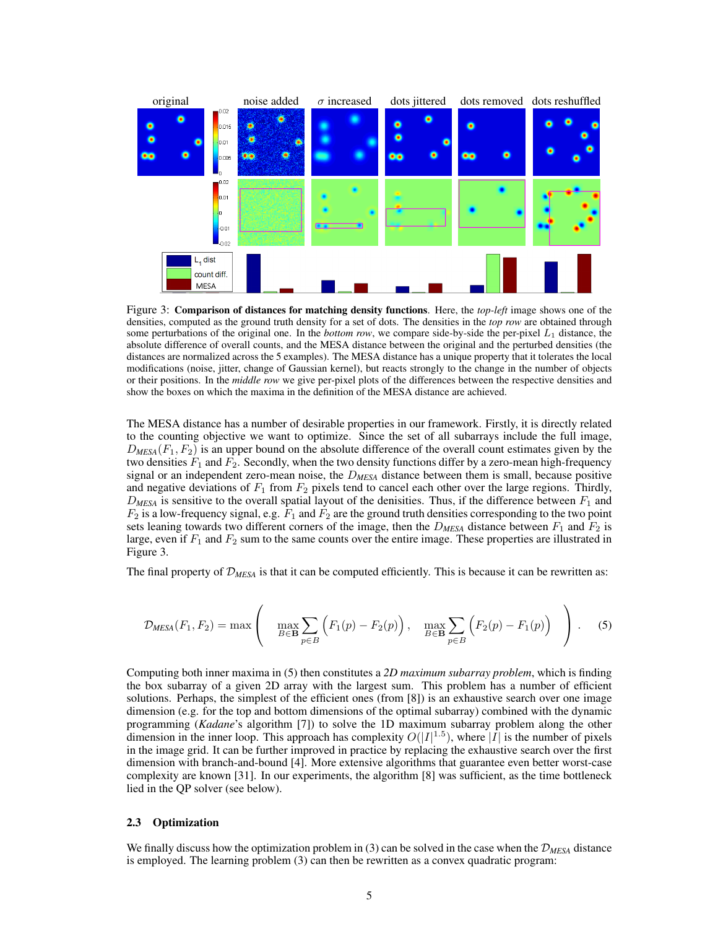

Figure 3: Comparison of distances for matching density functions. Here, the *top-left* image shows one of the densities, computed as the ground truth density for a set of dots. The densities in the *top row* are obtained through some perturbations of the original one. In the *bottom row*, we compare side-by-side the per-pixel  $L_1$  distance, the absolute difference of overall counts, and the MESA distance between the original and the perturbed densities (the distances are normalized across the 5 examples). The MESA distance has a unique property that it tolerates the local modifications (noise, jitter, change of Gaussian kernel), but reacts strongly to the change in the number of objects or their positions. In the *middle row* we give per-pixel plots of the differences between the respective densities and show the boxes on which the maxima in the definition of the MESA distance are achieved.

The MESA distance has a number of desirable properties in our framework. Firstly, it is directly related to the counting objective we want to optimize. Since the set of all subarrays include the full image,  $D_{MESA}(F_1, F_2)$  is an upper bound on the absolute difference of the overall count estimates given by the two densities  $F_1$  and  $F_2$ . Secondly, when the two density functions differ by a zero-mean high-frequency signal or an independent zero-mean noise, the D*MESA* distance between them is small, because positive and negative deviations of  $F_1$  from  $F_2$  pixels tend to cancel each other over the large regions. Thirdly,  $D_{MESA}$  is sensitive to the overall spatial layout of the denisities. Thus, if the difference between  $F_1$  and  $F_2$  is a low-frequency signal, e.g.  $F_1$  and  $F_2$  are the ground truth densities corresponding to the two point sets leaning towards two different corners of the image, then the  $D_{MESA}$  distance between  $F_1$  and  $F_2$  is large, even if  $F_1$  and  $F_2$  sum to the same counts over the entire image. These properties are illustrated in Figure 3.

The final property of D*MESA* is that it can be computed efficiently. This is because it can be rewritten as:

$$
\mathcal{D}_{\text{MESA}}(F_1, F_2) = \max \left( \max_{B \in \mathbf{B}} \sum_{p \in B} \left( F_1(p) - F_2(p) \right), \max_{B \in \mathbf{B}} \sum_{p \in B} \left( F_2(p) - F_1(p) \right) \right). \tag{5}
$$

Computing both inner maxima in (5) then constitutes a *2D maximum subarray problem*, which is finding the box subarray of a given 2D array with the largest sum. This problem has a number of efficient solutions. Perhaps, the simplest of the efficient ones (from [8]) is an exhaustive search over one image dimension (e.g. for the top and bottom dimensions of the optimal subarray) combined with the dynamic programming (*Kadane*'s algorithm [7]) to solve the 1D maximum subarray problem along the other dimension in the inner loop. This approach has complexity  $O(|I|^{1.5})$ , where  $|\overline{I}|$  is the number of pixels in the image grid. It can be further improved in practice by replacing the exhaustive search over the first dimension with branch-and-bound [4]. More extensive algorithms that guarantee even better worst-case complexity are known [31]. In our experiments, the algorithm [8] was sufficient, as the time bottleneck lied in the QP solver (see below).

#### 2.3 Optimization

We finally discuss how the optimization problem in (3) can be solved in the case when the  $\mathcal{D}_{MESA}$  distance is employed. The learning problem (3) can then be rewritten as a convex quadratic program: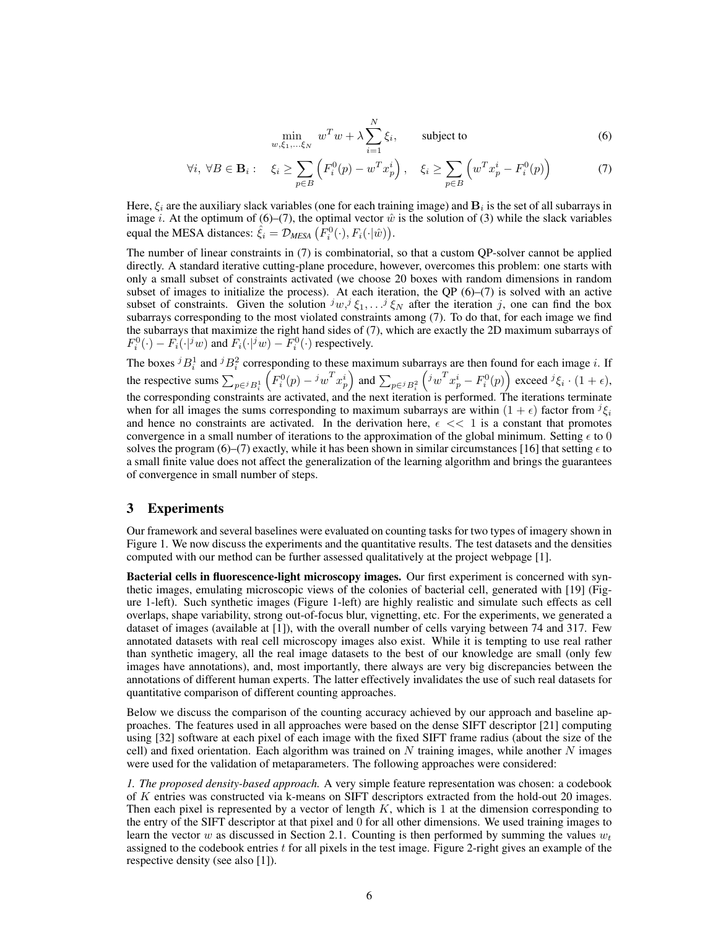$$
\min_{w,\xi_1,\dots,\xi_N} w^T w + \lambda \sum_{i=1}^N \xi_i, \qquad \text{subject to} \tag{6}
$$

$$
\forall i, \ \forall B \in \mathbf{B}_i: \quad \xi_i \ge \sum_{p \in B} \left( F_i^0(p) - w^T x_p^i \right), \quad \xi_i \ge \sum_{p \in B} \left( w^T x_p^i - F_i^0(p) \right) \tag{7}
$$

Here,  $\xi_i$  are the auxiliary slack variables (one for each training image) and  $\mathbf{B}_i$  is the set of all subarrays in image *i*. At the optimum of (6)–(7), the optimal vector  $\hat{w}$  is the solution of (3) while the slack variables equal the MESA distances:  $\hat{\xi}_i = \mathcal{D}_{MESA} (F_i^0(\cdot), F_i(\cdot|\hat{w}))$ .

The number of linear constraints in (7) is combinatorial, so that a custom QP-solver cannot be applied directly. A standard iterative cutting-plane procedure, however, overcomes this problem: one starts with only a small subset of constraints activated (we choose 20 boxes with random dimensions in random subset of images to initialize the process). At each iteration, the QP  $(6)$ – $(7)$  is solved with an active subset of constraints. Given the solution  $^j w_i^j \xi_1, \ldots^j \xi_N$  after the iteration j, one can find the box subarrays corresponding to the most violated constraints among (7). To do that, for each image we find the subarrays that maximize the right hand sides of (7), which are exactly the 2D maximum subarrays of  $F_i^0(\cdot) - F_i(\cdot|^j w)$  and  $F_i(\cdot|^j w) - F_i^0(\cdot)$  respectively.

The boxes  ${}^{j}B_{i}^{1}$  and  ${}^{j}B_{i}^{2}$  corresponding to these maximum subarrays are then found for each image i. If the respective sums  $\sum_{p \in {}^jB_i^1}$  $\left(F_i^0(p) - {^j w}^T x_p^i\right)$  and  $\sum_{p \in {^j B_i^2}}$  $\left(i\omega^T x_p^i - F_i^0(p)\right)$  exceed  ${}^j \xi_i \cdot (1 + \epsilon)$ , the corresponding constraints are activated, and the next iteration is performed. The iterations terminate when for all images the sums corresponding to maximum subarrays are within  $(1 + \epsilon)$  factor from  $^{j} \xi_i$ and hence no constraints are activated. In the derivation here,  $\epsilon \ll 1$  is a constant that promotes convergence in a small number of iterations to the approximation of the global minimum. Setting  $\epsilon$  to 0 solves the program (6)–(7) exactly, while it has been shown in similar circumstances [16] that setting  $\epsilon$  to a small finite value does not affect the generalization of the learning algorithm and brings the guarantees of convergence in small number of steps.

## 3 Experiments

Our framework and several baselines were evaluated on counting tasks for two types of imagery shown in Figure 1. We now discuss the experiments and the quantitative results. The test datasets and the densities computed with our method can be further assessed qualitatively at the project webpage [1].

Bacterial cells in fluorescence-light microscopy images. Our first experiment is concerned with synthetic images, emulating microscopic views of the colonies of bacterial cell, generated with [19] (Figure 1-left). Such synthetic images (Figure 1-left) are highly realistic and simulate such effects as cell overlaps, shape variability, strong out-of-focus blur, vignetting, etc. For the experiments, we generated a dataset of images (available at [1]), with the overall number of cells varying between 74 and 317. Few annotated datasets with real cell microscopy images also exist. While it is tempting to use real rather than synthetic imagery, all the real image datasets to the best of our knowledge are small (only few images have annotations), and, most importantly, there always are very big discrepancies between the annotations of different human experts. The latter effectively invalidates the use of such real datasets for quantitative comparison of different counting approaches.

Below we discuss the comparison of the counting accuracy achieved by our approach and baseline approaches. The features used in all approaches were based on the dense SIFT descriptor [21] computing using [32] software at each pixel of each image with the fixed SIFT frame radius (about the size of the cell) and fixed orientation. Each algorithm was trained on  $N$  training images, while another  $N$  images were used for the validation of metaparameters. The following approaches were considered:

*1. The proposed density-based approach.* A very simple feature representation was chosen: a codebook of K entries was constructed via k-means on SIFT descriptors extracted from the hold-out 20 images. Then each pixel is represented by a vector of length  $K$ , which is 1 at the dimension corresponding to the entry of the SIFT descriptor at that pixel and 0 for all other dimensions. We used training images to learn the vector w as discussed in Section 2.1. Counting is then performed by summing the values  $w_t$ assigned to the codebook entries  $t$  for all pixels in the test image. Figure 2-right gives an example of the respective density (see also [1]).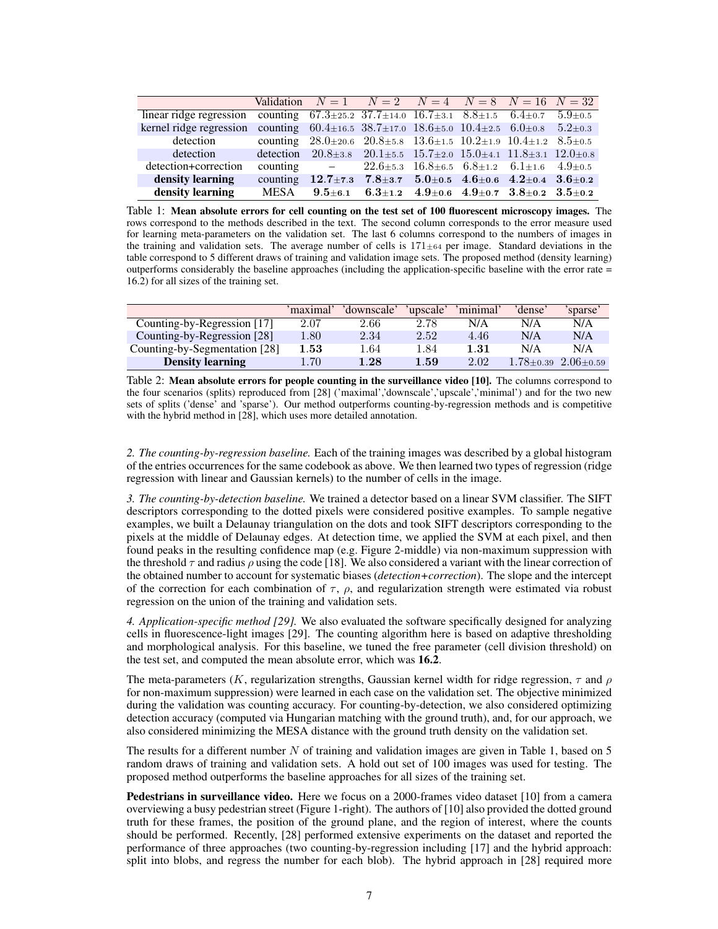|                                                                                                                            |  | Validation $N = 1$ $N = 2$ $N = 4$ $N = 8$ $N = 16$ $N = 32$                                       |  |  |
|----------------------------------------------------------------------------------------------------------------------------|--|----------------------------------------------------------------------------------------------------|--|--|
| linear ridge regression counting $67.3\pm25.2$ $37.7\pm14.0$ $16.7\pm3.1$ $8.8\pm1.5$ $6.4\pm0.7$ $5.9\pm0.5$              |  |                                                                                                    |  |  |
| kernel ridge regression counting $60.4 \pm 16.5$ $38.7 \pm 17.0$ $18.6 \pm 5.0$ $10.4 \pm 2.5$ $6.0 \pm 0.8$ $5.2 \pm 0.3$ |  |                                                                                                    |  |  |
| detection                                                                                                                  |  | counting $28.0 \pm 20.6$ $20.8 \pm 5.8$ $13.6 \pm 1.5$ $10.2 \pm 1.9$ $10.4 \pm 1.2$ $8.5 \pm 0.5$ |  |  |
| detection detection $20.8 \pm 3.8$ $20.1 \pm 5.5$ $15.7 \pm 2.0$ $15.0 \pm 4.1$ $11.8 \pm 3.1$ $12.0 \pm 0.8$              |  |                                                                                                    |  |  |
| detection+correction                                                                                                       |  | counting $-22.6\pm 5.3 \quad 16.8\pm 6.5 \quad 6.8\pm 1.2 \quad 6.1\pm 1.6 \quad 4.9\pm 0.5$       |  |  |
| density learning                                                                                                           |  | counting $12.7\pm7.3$ $7.8\pm3.7$ $5.0\pm0.5$ $4.6\pm0.6$ $4.2\pm0.4$ $3.6\pm0.2$                  |  |  |
| density learning                                                                                                           |  | MESA $9.5\pm6.1$ $6.3\pm1.2$ $4.9\pm0.6$ $4.9\pm0.7$ $3.8\pm0.2$ $3.5\pm0.2$                       |  |  |

Table 1: Mean absolute errors for cell counting on the test set of 100 fluorescent microscopy images. The rows correspond to the methods described in the text. The second column corresponds to the error measure used for learning meta-parameters on the validation set. The last 6 columns correspond to the numbers of images in the training and validation sets. The average number of cells is  $171 \pm 64$  per image. Standard deviations in the table correspond to 5 different draws of training and validation image sets. The proposed method (density learning) outperforms considerably the baseline approaches (including the application-specific baseline with the error rate = 16.2) for all sizes of the training set.

|                               | 'maximal' | 'downscale' | 'upscale' | 'minimal' | 'dense'       | 'sparse'      |
|-------------------------------|-----------|-------------|-----------|-----------|---------------|---------------|
| Counting-by-Regression [17]   | 2.07      | 2.66        | 2.78      | N/A       | N/A           | N/A           |
| Counting-by-Regression [28]   | 1.80      | 2.34        | 2.52      | 4.46      | N/A           | N/A           |
| Counting-by-Segmentation [28] | $1.53\,$  | 1.64        | 1.84      | 1.31      | N/A           | N/A           |
| <b>Density learning</b>       | 1.70      | 1.28        | 1.59      | 2.02      | $1.78 + 0.39$ | $2.06 + 0.59$ |

Table 2: Mean absolute errors for people counting in the surveillance video [10]. The columns correspond to the four scenarios (splits) reproduced from [28] ('maximal','downscale','upscale','minimal') and for the two new sets of splits ('dense' and 'sparse'). Our method outperforms counting-by-regression methods and is competitive with the hybrid method in [28], which uses more detailed annotation.

*2. The counting-by-regression baseline.* Each of the training images was described by a global histogram of the entries occurrences for the same codebook as above. We then learned two types of regression (ridge regression with linear and Gaussian kernels) to the number of cells in the image.

*3. The counting-by-detection baseline.* We trained a detector based on a linear SVM classifier. The SIFT descriptors corresponding to the dotted pixels were considered positive examples. To sample negative examples, we built a Delaunay triangulation on the dots and took SIFT descriptors corresponding to the pixels at the middle of Delaunay edges. At detection time, we applied the SVM at each pixel, and then found peaks in the resulting confidence map (e.g. Figure 2-middle) via non-maximum suppression with the threshold  $\tau$  and radius  $\rho$  using the code [18]. We also considered a variant with the linear correction of the obtained number to account for systematic biases (*detection+correction*). The slope and the intercept of the correction for each combination of  $\tau$ ,  $\rho$ , and regularization strength were estimated via robust regression on the union of the training and validation sets.

*4. Application-specific method [29].* We also evaluated the software specifically designed for analyzing cells in fluorescence-light images [29]. The counting algorithm here is based on adaptive thresholding and morphological analysis. For this baseline, we tuned the free parameter (cell division threshold) on the test set, and computed the mean absolute error, which was 16.2.

The meta-parameters (K, regularization strengths, Gaussian kernel width for ridge regression,  $\tau$  and  $\rho$ for non-maximum suppression) were learned in each case on the validation set. The objective minimized during the validation was counting accuracy. For counting-by-detection, we also considered optimizing detection accuracy (computed via Hungarian matching with the ground truth), and, for our approach, we also considered minimizing the MESA distance with the ground truth density on the validation set.

The results for a different number N of training and validation images are given in Table 1, based on 5 random draws of training and validation sets. A hold out set of 100 images was used for testing. The proposed method outperforms the baseline approaches for all sizes of the training set.

Pedestrians in surveillance video. Here we focus on a 2000-frames video dataset [10] from a camera overviewing a busy pedestrian street (Figure 1-right). The authors of [10] also provided the dotted ground truth for these frames, the position of the ground plane, and the region of interest, where the counts should be performed. Recently, [28] performed extensive experiments on the dataset and reported the performance of three approaches (two counting-by-regression including [17] and the hybrid approach: split into blobs, and regress the number for each blob). The hybrid approach in [28] required more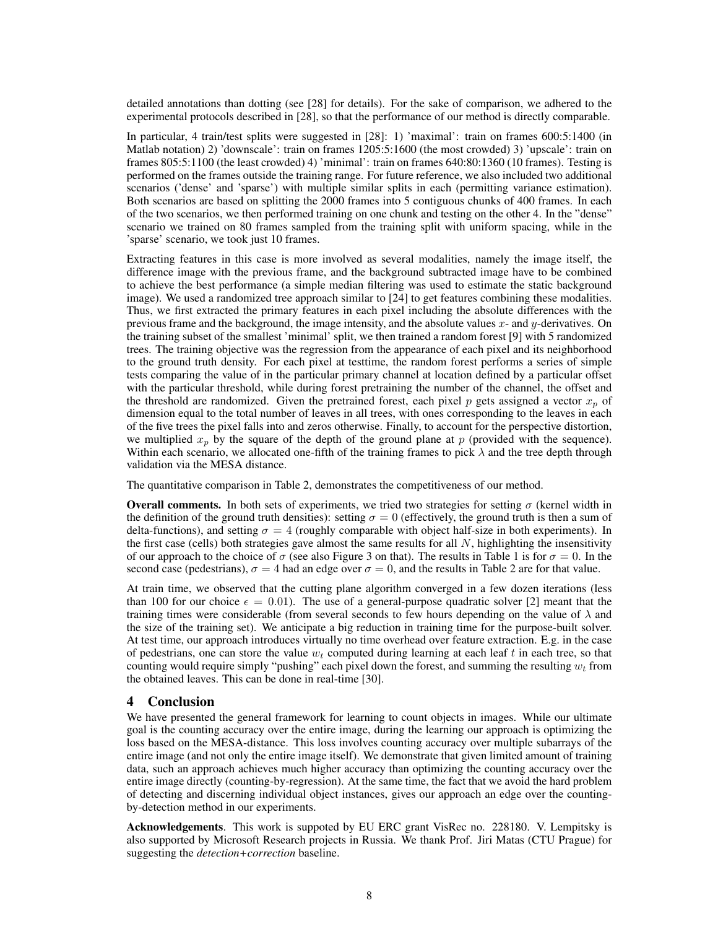detailed annotations than dotting (see [28] for details). For the sake of comparison, we adhered to the experimental protocols described in [28], so that the performance of our method is directly comparable.

In particular, 4 train/test splits were suggested in [28]: 1) 'maximal': train on frames 600:5:1400 (in Matlab notation) 2) 'downscale': train on frames 1205:5:1600 (the most crowded) 3) 'upscale': train on frames 805:5:1100 (the least crowded) 4) 'minimal': train on frames 640:80:1360 (10 frames). Testing is performed on the frames outside the training range. For future reference, we also included two additional scenarios ('dense' and 'sparse') with multiple similar splits in each (permitting variance estimation). Both scenarios are based on splitting the 2000 frames into 5 contiguous chunks of 400 frames. In each of the two scenarios, we then performed training on one chunk and testing on the other 4. In the "dense" scenario we trained on 80 frames sampled from the training split with uniform spacing, while in the 'sparse' scenario, we took just 10 frames.

Extracting features in this case is more involved as several modalities, namely the image itself, the difference image with the previous frame, and the background subtracted image have to be combined to achieve the best performance (a simple median filtering was used to estimate the static background image). We used a randomized tree approach similar to [24] to get features combining these modalities. Thus, we first extracted the primary features in each pixel including the absolute differences with the previous frame and the background, the image intensity, and the absolute values  $x$ - and  $y$ -derivatives. On the training subset of the smallest 'minimal' split, we then trained a random forest [9] with 5 randomized trees. The training objective was the regression from the appearance of each pixel and its neighborhood to the ground truth density. For each pixel at testtime, the random forest performs a series of simple tests comparing the value of in the particular primary channel at location defined by a particular offset with the particular threshold, while during forest pretraining the number of the channel, the offset and the threshold are randomized. Given the pretrained forest, each pixel p gets assigned a vector  $x_p$  of dimension equal to the total number of leaves in all trees, with ones corresponding to the leaves in each of the five trees the pixel falls into and zeros otherwise. Finally, to account for the perspective distortion, we multiplied  $x_p$  by the square of the depth of the ground plane at p (provided with the sequence). Within each scenario, we allocated one-fifth of the training frames to pick  $\lambda$  and the tree depth through validation via the MESA distance.

The quantitative comparison in Table 2, demonstrates the competitiveness of our method.

**Overall comments.** In both sets of experiments, we tried two strategies for setting  $\sigma$  (kernel width in the definition of the ground truth densities): setting  $\sigma = 0$  (effectively, the ground truth is then a sum of delta-functions), and setting  $\sigma = 4$  (roughly comparable with object half-size in both experiments). In the first case (cells) both strategies gave almost the same results for all  $N$ , highlighting the insensitivity of our approach to the choice of  $\sigma$  (see also Figure 3 on that). The results in Table 1 is for  $\sigma = 0$ . In the second case (pedestrians),  $\sigma = 4$  had an edge over  $\sigma = 0$ , and the results in Table 2 are for that value.

At train time, we observed that the cutting plane algorithm converged in a few dozen iterations (less than 100 for our choice  $\epsilon = 0.01$ ). The use of a general-purpose quadratic solver [2] meant that the training times were considerable (from several seconds to few hours depending on the value of  $\lambda$  and the size of the training set). We anticipate a big reduction in training time for the purpose-built solver. At test time, our approach introduces virtually no time overhead over feature extraction. E.g. in the case of pedestrians, one can store the value  $w_t$  computed during learning at each leaf t in each tree, so that counting would require simply "pushing" each pixel down the forest, and summing the resulting  $w_t$  from the obtained leaves. This can be done in real-time [30].

## 4 Conclusion

We have presented the general framework for learning to count objects in images. While our ultimate goal is the counting accuracy over the entire image, during the learning our approach is optimizing the loss based on the MESA-distance. This loss involves counting accuracy over multiple subarrays of the entire image (and not only the entire image itself). We demonstrate that given limited amount of training data, such an approach achieves much higher accuracy than optimizing the counting accuracy over the entire image directly (counting-by-regression). At the same time, the fact that we avoid the hard problem of detecting and discerning individual object instances, gives our approach an edge over the countingby-detection method in our experiments.

Acknowledgements. This work is suppoted by EU ERC grant VisRec no. 228180. V. Lempitsky is also supported by Microsoft Research projects in Russia. We thank Prof. Jiri Matas (CTU Prague) for suggesting the *detection+correction* baseline.